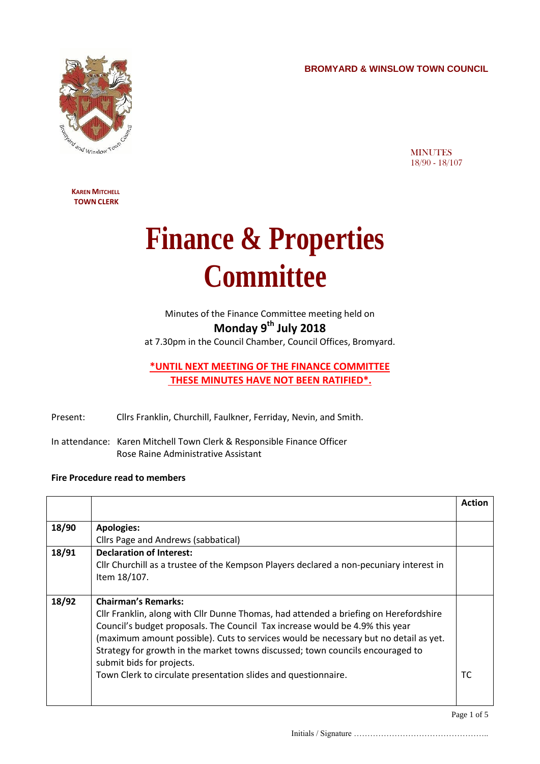**BROMYARD & WINSLOW TOWN COUNCIL**



**MINUTES** 18/90 - 18/107

**KAREN MITCHELL TOWN CLERK**

## **Finance & Properties Committee**

Minutes of the Finance Committee meeting held on **Monday 9 th July 2018**

at 7.30pm in the Council Chamber, Council Offices, Bromyard.

## **\*UNTIL NEXT MEETING OF THE FINANCE COMMITTEE THESE MINUTES HAVE NOT BEEN RATIFIED\*.**

- Present: Cllrs Franklin, Churchill, Faulkner, Ferriday, Nevin, and Smith.
- In attendance: Karen Mitchell Town Clerk & Responsible Finance Officer Rose Raine Administrative Assistant

## **Fire Procedure read to members**

|       |                                                                                         | <b>Action</b> |
|-------|-----------------------------------------------------------------------------------------|---------------|
|       |                                                                                         |               |
| 18/90 | <b>Apologies:</b>                                                                       |               |
|       | Cllrs Page and Andrews (sabbatical)                                                     |               |
| 18/91 | <b>Declaration of Interest:</b>                                                         |               |
|       | Cllr Churchill as a trustee of the Kempson Players declared a non-pecuniary interest in |               |
|       | Item 18/107.                                                                            |               |
|       |                                                                                         |               |
| 18/92 | <b>Chairman's Remarks:</b>                                                              |               |
|       | Cllr Franklin, along with Cllr Dunne Thomas, had attended a briefing on Herefordshire   |               |
|       | Council's budget proposals. The Council Tax increase would be 4.9% this year            |               |
|       | (maximum amount possible). Cuts to services would be necessary but no detail as yet.    |               |
|       | Strategy for growth in the market towns discussed; town councils encouraged to          |               |
|       | submit bids for projects.                                                               |               |
|       | Town Clerk to circulate presentation slides and questionnaire.                          | ТC            |
|       |                                                                                         |               |
|       |                                                                                         |               |

Page 1 of 5

Initials / Signature …………………………………………..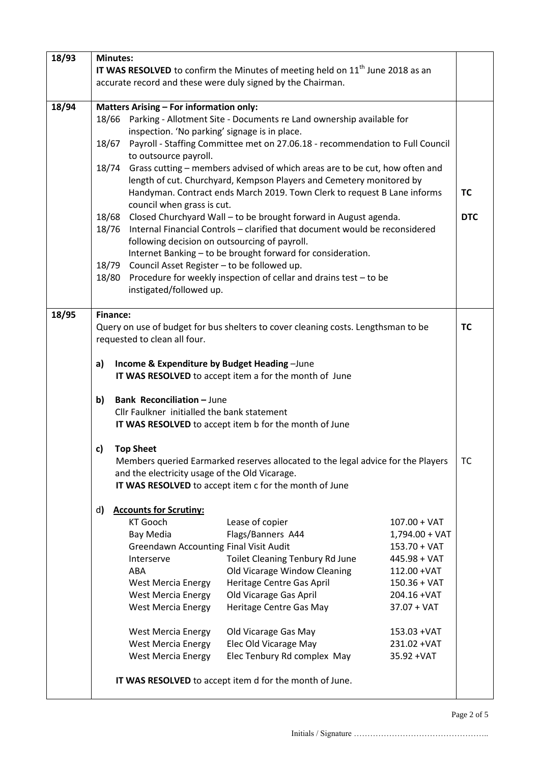| 18/93 | <b>Minutes:</b>                                                                            |                                                |                                                                                   |                  |           |
|-------|--------------------------------------------------------------------------------------------|------------------------------------------------|-----------------------------------------------------------------------------------|------------------|-----------|
|       | IT WAS RESOLVED to confirm the Minutes of meeting held on 11 <sup>th</sup> June 2018 as an |                                                |                                                                                   |                  |           |
|       | accurate record and these were duly signed by the Chairman.                                |                                                |                                                                                   |                  |           |
|       |                                                                                            |                                                |                                                                                   |                  |           |
| 18/94 | <b>Matters Arising - For information only:</b>                                             |                                                |                                                                                   |                  |           |
|       | 18/66                                                                                      |                                                | Parking - Allotment Site - Documents re Land ownership available for              |                  |           |
|       | inspection. 'No parking' signage is in place.                                              |                                                |                                                                                   |                  |           |
|       | 18/67                                                                                      |                                                | Payroll - Staffing Committee met on 27.06.18 - recommendation to Full Council     |                  |           |
|       |                                                                                            | to outsource payroll.                          |                                                                                   |                  |           |
|       | 18/74<br>Grass cutting – members advised of which areas are to be cut, how often and       |                                                |                                                                                   |                  |           |
|       |                                                                                            |                                                | length of cut. Churchyard, Kempson Players and Cemetery monitored by              |                  |           |
|       |                                                                                            |                                                | Handyman. Contract ends March 2019. Town Clerk to request B Lane informs          |                  | <b>TC</b> |
|       |                                                                                            | council when grass is cut.                     |                                                                                   |                  |           |
|       | Closed Churchyard Wall - to be brought forward in August agenda.<br>18/68                  |                                                |                                                                                   | <b>DTC</b>       |           |
|       | Internal Financial Controls - clarified that document would be reconsidered<br>18/76       |                                                |                                                                                   |                  |           |
|       | following decision on outsourcing of payroll.                                              |                                                |                                                                                   |                  |           |
|       | Internet Banking - to be brought forward for consideration.                                |                                                |                                                                                   |                  |           |
|       | 18/79<br>Council Asset Register - to be followed up.                                       |                                                |                                                                                   |                  |           |
|       | Procedure for weekly inspection of cellar and drains test - to be<br>18/80                 |                                                |                                                                                   |                  |           |
|       |                                                                                            | instigated/followed up.                        |                                                                                   |                  |           |
| 18/95 | <b>Finance:</b>                                                                            |                                                |                                                                                   |                  |           |
|       |                                                                                            |                                                | Query on use of budget for bus shelters to cover cleaning costs. Lengthsman to be |                  | <b>TC</b> |
|       |                                                                                            | requested to clean all four.                   |                                                                                   |                  |           |
|       |                                                                                            |                                                |                                                                                   |                  |           |
|       | a)                                                                                         | Income & Expenditure by Budget Heading-June    |                                                                                   |                  |           |
|       |                                                                                            |                                                | IT WAS RESOLVED to accept item a for the month of June                            |                  |           |
|       |                                                                                            |                                                |                                                                                   |                  |           |
|       | b)                                                                                         | <b>Bank Reconciliation - June</b>              |                                                                                   |                  |           |
|       |                                                                                            | Cllr Faulkner initialled the bank statement    |                                                                                   |                  |           |
|       |                                                                                            |                                                | IT WAS RESOLVED to accept item b for the month of June                            |                  |           |
|       |                                                                                            |                                                |                                                                                   |                  |           |
|       | c)                                                                                         | <b>Top Sheet</b>                               |                                                                                   |                  |           |
|       |                                                                                            |                                                | Members queried Earmarked reserves allocated to the legal advice for the Players  |                  | тс        |
|       |                                                                                            | and the electricity usage of the Old Vicarage. |                                                                                   |                  |           |
|       |                                                                                            |                                                | IT WAS RESOLVED to accept item c for the month of June                            |                  |           |
|       |                                                                                            |                                                |                                                                                   |                  |           |
|       | d)                                                                                         | <b>Accounts for Scrutiny:</b>                  |                                                                                   |                  |           |
|       |                                                                                            | <b>KT Gooch</b>                                | Lease of copier                                                                   | $107.00 + VAT$   |           |
|       |                                                                                            | Bay Media                                      | Flags/Banners A44                                                                 | $1,794.00 + VAT$ |           |
|       |                                                                                            | <b>Greendawn Accounting Final Visit Audit</b>  |                                                                                   | $153.70 + VAT$   |           |
|       |                                                                                            | Interserve                                     | Toilet Cleaning Tenbury Rd June                                                   | $445.98 + VAT$   |           |
|       |                                                                                            | ABA                                            | Old Vicarage Window Cleaning                                                      | 112.00 + VAT     |           |
|       |                                                                                            | <b>West Mercia Energy</b>                      | Heritage Centre Gas April                                                         | $150.36 + VAT$   |           |
|       |                                                                                            | <b>West Mercia Energy</b>                      | Old Vicarage Gas April                                                            | 204.16 + VAT     |           |
|       |                                                                                            | <b>West Mercia Energy</b>                      | Heritage Centre Gas May                                                           | $37.07 + VAT$    |           |
|       |                                                                                            | <b>West Mercia Energy</b>                      | Old Vicarage Gas May                                                              | 153.03 + VAT     |           |
|       |                                                                                            | <b>West Mercia Energy</b>                      | Elec Old Vicarage May                                                             | 231.02 + VAT     |           |
|       |                                                                                            | <b>West Mercia Energy</b>                      | Elec Tenbury Rd complex May                                                       | 35.92 + VAT      |           |
|       |                                                                                            |                                                |                                                                                   |                  |           |
|       |                                                                                            |                                                | IT WAS RESOLVED to accept item d for the month of June.                           |                  |           |
|       |                                                                                            |                                                |                                                                                   |                  |           |
|       |                                                                                            |                                                |                                                                                   |                  |           |

Initials / Signature …………………………………………..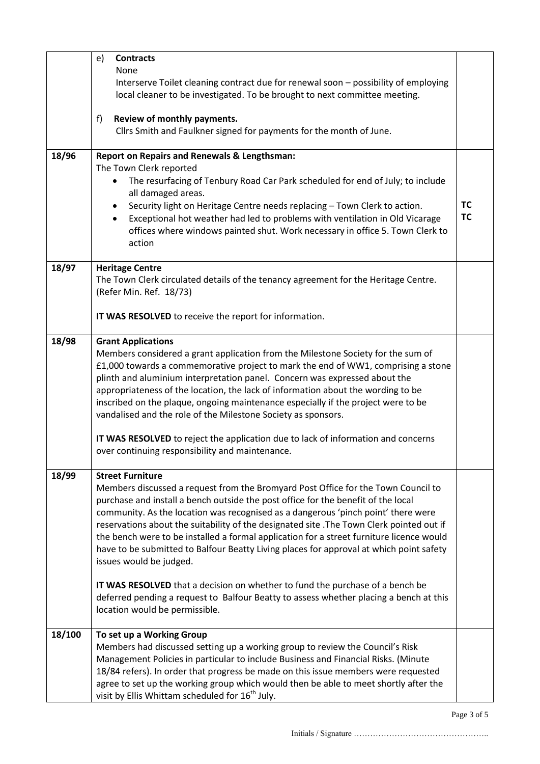|        | e)<br><b>Contracts</b><br><b>None</b><br>Interserve Toilet cleaning contract due for renewal soon - possibility of employing                                                          |           |
|--------|---------------------------------------------------------------------------------------------------------------------------------------------------------------------------------------|-----------|
|        | local cleaner to be investigated. To be brought to next committee meeting.                                                                                                            |           |
|        | Review of monthly payments.<br>f)<br>Cllrs Smith and Faulkner signed for payments for the month of June.                                                                              |           |
|        |                                                                                                                                                                                       |           |
| 18/96  | <b>Report on Repairs and Renewals &amp; Lengthsman:</b><br>The Town Clerk reported                                                                                                    |           |
|        | The resurfacing of Tenbury Road Car Park scheduled for end of July; to include<br>$\bullet$                                                                                           |           |
|        | all damaged areas.<br>Security light on Heritage Centre needs replacing - Town Clerk to action.<br>$\bullet$                                                                          | <b>TC</b> |
|        | Exceptional hot weather had led to problems with ventilation in Old Vicarage<br>$\bullet$<br>offices where windows painted shut. Work necessary in office 5. Town Clerk to<br>action  | <b>TC</b> |
| 18/97  | <b>Heritage Centre</b>                                                                                                                                                                |           |
|        | The Town Clerk circulated details of the tenancy agreement for the Heritage Centre.<br>(Refer Min. Ref. 18/73)                                                                        |           |
|        | IT WAS RESOLVED to receive the report for information.                                                                                                                                |           |
| 18/98  | <b>Grant Applications</b><br>Members considered a grant application from the Milestone Society for the sum of                                                                         |           |
|        | £1,000 towards a commemorative project to mark the end of WW1, comprising a stone<br>plinth and aluminium interpretation panel. Concern was expressed about the                       |           |
|        | appropriateness of the location, the lack of information about the wording to be                                                                                                      |           |
|        | inscribed on the plaque, ongoing maintenance especially if the project were to be<br>vandalised and the role of the Milestone Society as sponsors.                                    |           |
|        | IT WAS RESOLVED to reject the application due to lack of information and concerns<br>over continuing responsibility and maintenance.                                                  |           |
| 18/99  | <b>Street Furniture</b>                                                                                                                                                               |           |
|        | Members discussed a request from the Bromyard Post Office for the Town Council to<br>purchase and install a bench outside the post office for the benefit of the local                |           |
|        | community. As the location was recognised as a dangerous 'pinch point' there were                                                                                                     |           |
|        | reservations about the suitability of the designated site . The Town Clerk pointed out if<br>the bench were to be installed a formal application for a street furniture licence would |           |
|        | have to be submitted to Balfour Beatty Living places for approval at which point safety<br>issues would be judged.                                                                    |           |
|        | <b>IT WAS RESOLVED</b> that a decision on whether to fund the purchase of a bench be                                                                                                  |           |
|        | deferred pending a request to Balfour Beatty to assess whether placing a bench at this<br>location would be permissible.                                                              |           |
| 18/100 | To set up a Working Group                                                                                                                                                             |           |
|        | Members had discussed setting up a working group to review the Council's Risk<br>Management Policies in particular to include Business and Financial Risks. (Minute                   |           |
|        | 18/84 refers). In order that progress be made on this issue members were requested                                                                                                    |           |
|        | agree to set up the working group which would then be able to meet shortly after the<br>visit by Ellis Whittam scheduled for 16 <sup>th</sup> July.                                   |           |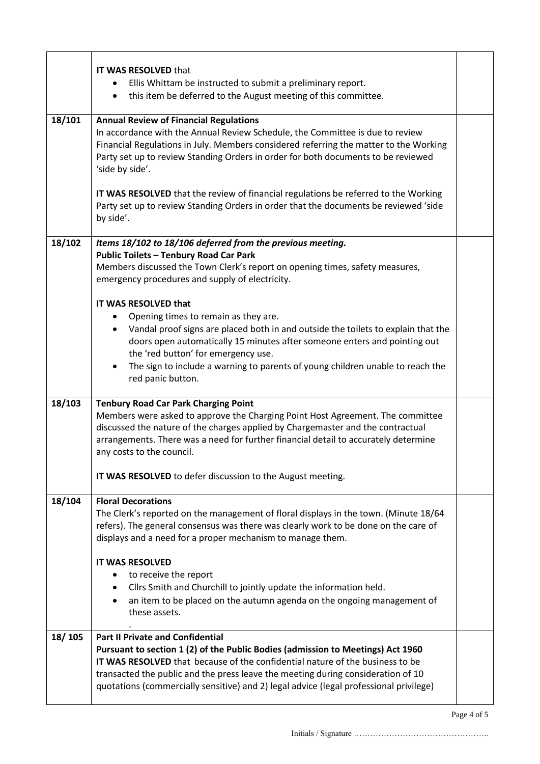|        | <b>IT WAS RESOLVED that</b>                                                                                                                                                                                                                                                                                                                                                                                 |  |  |
|--------|-------------------------------------------------------------------------------------------------------------------------------------------------------------------------------------------------------------------------------------------------------------------------------------------------------------------------------------------------------------------------------------------------------------|--|--|
|        | Ellis Whittam be instructed to submit a preliminary report.<br>this item be deferred to the August meeting of this committee.<br>$\bullet$                                                                                                                                                                                                                                                                  |  |  |
| 18/101 | <b>Annual Review of Financial Regulations</b><br>In accordance with the Annual Review Schedule, the Committee is due to review<br>Financial Regulations in July. Members considered referring the matter to the Working<br>Party set up to review Standing Orders in order for both documents to be reviewed<br>'side by side'.                                                                             |  |  |
|        | IT WAS RESOLVED that the review of financial regulations be referred to the Working<br>Party set up to review Standing Orders in order that the documents be reviewed 'side<br>by side'.                                                                                                                                                                                                                    |  |  |
| 18/102 | Items 18/102 to 18/106 deferred from the previous meeting.                                                                                                                                                                                                                                                                                                                                                  |  |  |
|        | <b>Public Toilets - Tenbury Road Car Park</b><br>Members discussed the Town Clerk's report on opening times, safety measures,<br>emergency procedures and supply of electricity.                                                                                                                                                                                                                            |  |  |
|        | IT WAS RESOLVED that<br>Opening times to remain as they are.<br>٠<br>Vandal proof signs are placed both in and outside the toilets to explain that the<br>$\bullet$<br>doors open automatically 15 minutes after someone enters and pointing out<br>the 'red button' for emergency use.<br>The sign to include a warning to parents of young children unable to reach the<br>$\bullet$<br>red panic button. |  |  |
| 18/103 | <b>Tenbury Road Car Park Charging Point</b><br>Members were asked to approve the Charging Point Host Agreement. The committee<br>discussed the nature of the charges applied by Chargemaster and the contractual<br>arrangements. There was a need for further financial detail to accurately determine<br>any costs to the council.                                                                        |  |  |
|        | IT WAS RESOLVED to defer discussion to the August meeting.                                                                                                                                                                                                                                                                                                                                                  |  |  |
| 18/104 | <b>Floral Decorations</b><br>The Clerk's reported on the management of floral displays in the town. (Minute 18/64<br>refers). The general consensus was there was clearly work to be done on the care of<br>displays and a need for a proper mechanism to manage them.                                                                                                                                      |  |  |
|        | <b>IT WAS RESOLVED</b><br>to receive the report<br>Cllrs Smith and Churchill to jointly update the information held.<br>$\bullet$<br>an item to be placed on the autumn agenda on the ongoing management of<br>these assets.                                                                                                                                                                                |  |  |
| 18/105 | <b>Part II Private and Confidential</b><br>Pursuant to section 1 (2) of the Public Bodies (admission to Meetings) Act 1960<br><b>IT WAS RESOLVED</b> that because of the confidential nature of the business to be<br>transacted the public and the press leave the meeting during consideration of 10<br>quotations (commercially sensitive) and 2) legal advice (legal professional privilege)            |  |  |